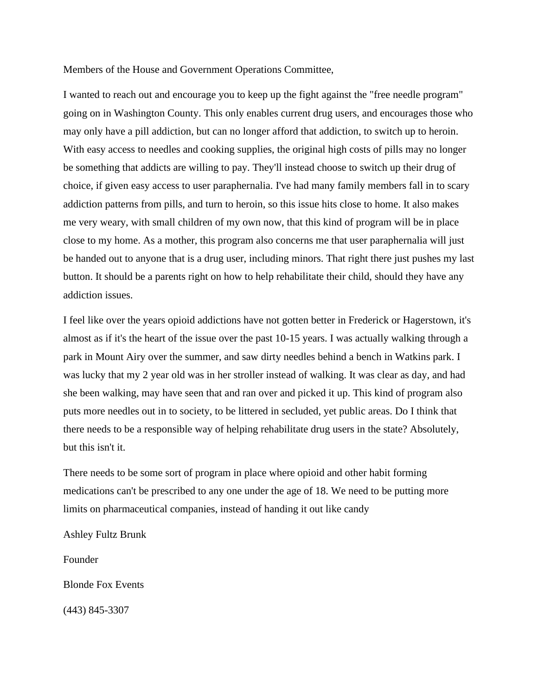Members of the House and Government Operations Committee,

I wanted to reach out and encourage you to keep up the fight against the "free needle program" going on in Washington County. This only enables current drug users, and encourages those who may only have a pill addiction, but can no longer afford that addiction, to switch up to heroin. With easy access to needles and cooking supplies, the original high costs of pills may no longer be something that addicts are willing to pay. They'll instead choose to switch up their drug of choice, if given easy access to user paraphernalia. I've had many family members fall in to scary addiction patterns from pills, and turn to heroin, so this issue hits close to home. It also makes me very weary, with small children of my own now, that this kind of program will be in place close to my home. As a mother, this program also concerns me that user paraphernalia will just be handed out to anyone that is a drug user, including minors. That right there just pushes my last button. It should be a parents right on how to help rehabilitate their child, should they have any addiction issues.

I feel like over the years opioid addictions have not gotten better in Frederick or Hagerstown, it's almost as if it's the heart of the issue over the past 10-15 years. I was actually walking through a park in Mount Airy over the summer, and saw dirty needles behind a bench in Watkins park. I was lucky that my 2 year old was in her stroller instead of walking. It was clear as day, and had she been walking, may have seen that and ran over and picked it up. This kind of program also puts more needles out in to society, to be littered in secluded, yet public areas. Do I think that there needs to be a responsible way of helping rehabilitate drug users in the state? Absolutely, but this isn't it.

There needs to be some sort of program in place where opioid and other habit forming medications can't be prescribed to any one under the age of 18. We need to be putting more limits on pharmaceutical companies, instead of handing it out like candy

Ashley Fultz Brunk

Founder

Blonde Fox Events

(443) 845-3307